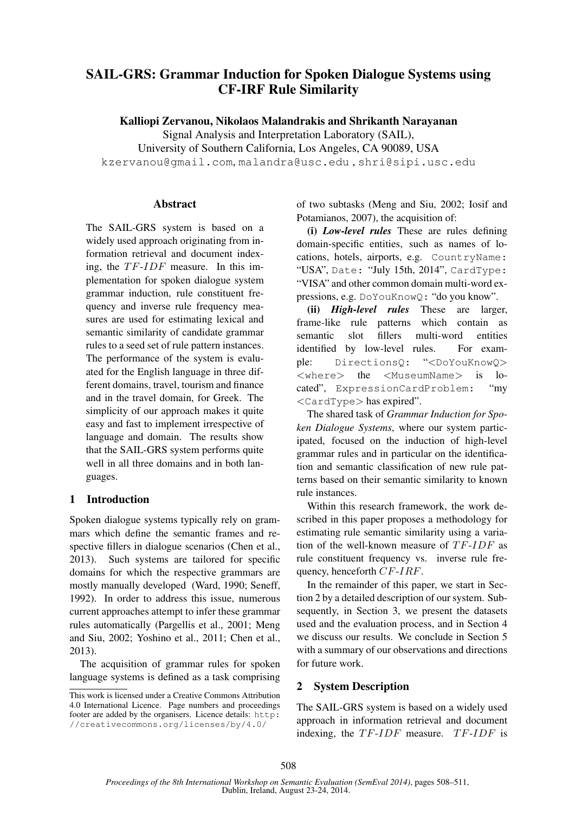# SAIL-GRS: Grammar Induction for Spoken Dialogue Systems using CF-IRF Rule Similarity

Kalliopi Zervanou, Nikolaos Malandrakis and Shrikanth Narayanan

Signal Analysis and Interpretation Laboratory (SAIL),

University of Southern California, Los Angeles, CA 90089, USA

kzervanou@gmail.com, malandra@usc.edu , shri@sipi.usc.edu

## **Abstract**

The SAIL-GRS system is based on a widely used approach originating from information retrieval and document indexing, the  $TF-IDF$  measure. In this implementation for spoken dialogue system grammar induction, rule constituent frequency and inverse rule frequency measures are used for estimating lexical and semantic similarity of candidate grammar rules to a seed set of rule pattern instances. The performance of the system is evaluated for the English language in three different domains, travel, tourism and finance and in the travel domain, for Greek. The simplicity of our approach makes it quite easy and fast to implement irrespective of language and domain. The results show that the SAIL-GRS system performs quite well in all three domains and in both languages.

## 1 Introduction

Spoken dialogue systems typically rely on grammars which define the semantic frames and respective fillers in dialogue scenarios (Chen et al., 2013). Such systems are tailored for specific domains for which the respective grammars are mostly manually developed (Ward, 1990; Seneff, 1992). In order to address this issue, numerous current approaches attempt to infer these grammar rules automatically (Pargellis et al., 2001; Meng and Siu, 2002; Yoshino et al., 2011; Chen et al., 2013).

The acquisition of grammar rules for spoken language systems is defined as a task comprising

of two subtasks (Meng and Siu, 2002; Iosif and Potamianos, 2007), the acquisition of:

(i) *Low-level rules* These are rules defining domain-specific entities, such as names of locations, hotels, airports, e.g. CountryName: "USA", Date: "July 15th, 2014", CardType: "VISA" and other common domain multi-word expressions, e.g. DoYouKnowQ: "do you know".

(ii) *High-level rules* These are larger, frame-like rule patterns which contain as semantic slot fillers multi-word entities identified by low-level rules. For example: DirectionsQ: "<DoYouKnowQ> <where> the <MuseumName> is located", ExpressionCardProblem: "my <CardType> has expired".

The shared task of *Grammar Induction for Spoken Dialogue Systems*, where our system participated, focused on the induction of high-level grammar rules and in particular on the identification and semantic classification of new rule patterns based on their semantic similarity to known rule instances.

Within this research framework, the work described in this paper proposes a methodology for estimating rule semantic similarity using a variation of the well-known measure of  $TF-IDF$  as rule constituent frequency vs. inverse rule frequency, henceforth CF-IRF.

In the remainder of this paper, we start in Section 2 by a detailed description of our system. Subsequently, in Section 3, we present the datasets used and the evaluation process, and in Section 4 we discuss our results. We conclude in Section 5 with a summary of our observations and directions for future work.

## 2 System Description

The SAIL-GRS system is based on a widely used approach in information retrieval and document indexing, the  $TF-IDF$  measure.  $TF-IDF$  is

This work is licensed under a Creative Commons Attribution 4.0 International Licence. Page numbers and proceedings footer are added by the organisers. Licence details: http: //creativecommons.org/licenses/by/4.0/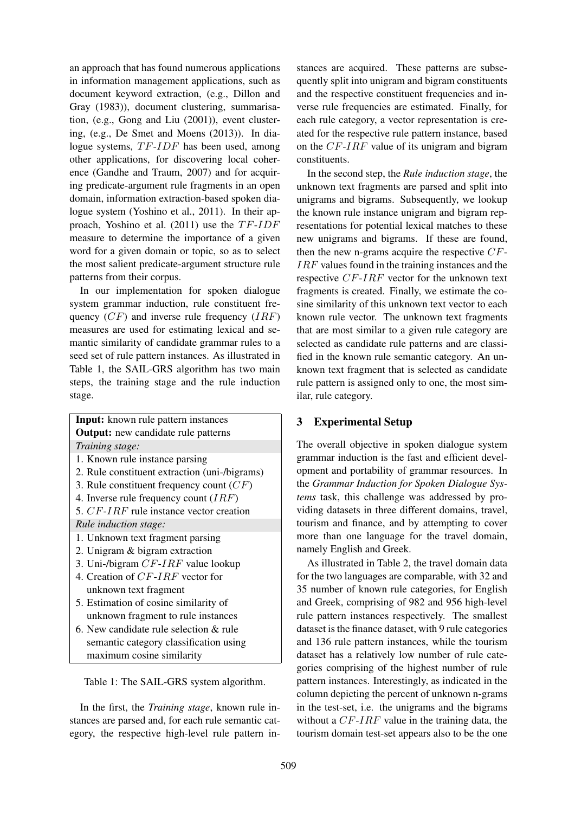an approach that has found numerous applications in information management applications, such as document keyword extraction, (e.g., Dillon and Gray (1983)), document clustering, summarisation, (e.g., Gong and Liu (2001)), event clustering, (e.g., De Smet and Moens (2013)). In dialogue systems,  $TF$ - $IDF$  has been used, among other applications, for discovering local coherence (Gandhe and Traum, 2007) and for acquiring predicate-argument rule fragments in an open domain, information extraction-based spoken dialogue system (Yoshino et al., 2011). In their approach, Yoshino et al.  $(2011)$  use the  $TF-IDF$ measure to determine the importance of a given word for a given domain or topic, so as to select the most salient predicate-argument structure rule patterns from their corpus.

In our implementation for spoken dialogue system grammar induction, rule constituent frequency  $(CF)$  and inverse rule frequency  $(IRF)$ measures are used for estimating lexical and semantic similarity of candidate grammar rules to a seed set of rule pattern instances. As illustrated in Table 1, the SAIL-GRS algorithm has two main steps, the training stage and the rule induction stage.

| <b>Input:</b> known rule pattern instances    |
|-----------------------------------------------|
| <b>Output:</b> new candidate rule patterns    |
| Training stage:                               |
| 1. Known rule instance parsing                |
| 2. Rule constituent extraction (uni-/bigrams) |
| 3. Rule constituent frequency count $(CF)$    |
| 4. Inverse rule frequency count $(IRF)$       |
| 5. $CF-IRF$ rule instance vector creation     |
| Rule induction stage:                         |
| 1. Unknown text fragment parsing              |
| 2. Unigram & bigram extraction                |
| 3. Uni-/bigram $CF-IRF$ value lookup          |
| 4. Creation of CF-IRF vector for              |
| unknown text fragment                         |
| 5. Estimation of cosine similarity of         |
| unknown fragment to rule instances            |
| 6. New candidate rule selection & rule        |
| semantic category classification using        |
| maximum cosine similarity                     |
|                                               |

Table 1: The SAIL-GRS system algorithm.

In the first, the *Training stage*, known rule instances are parsed and, for each rule semantic category, the respective high-level rule pattern instances are acquired. These patterns are subsequently split into unigram and bigram constituents and the respective constituent frequencies and inverse rule frequencies are estimated. Finally, for each rule category, a vector representation is created for the respective rule pattern instance, based on the CF-IRF value of its unigram and bigram constituents.

In the second step, the *Rule induction stage*, the unknown text fragments are parsed and split into unigrams and bigrams. Subsequently, we lookup the known rule instance unigram and bigram representations for potential lexical matches to these new unigrams and bigrams. If these are found, then the new n-grams acquire the respective  $CF$ -IRF values found in the training instances and the respective CF-IRF vector for the unknown text fragments is created. Finally, we estimate the cosine similarity of this unknown text vector to each known rule vector. The unknown text fragments that are most similar to a given rule category are selected as candidate rule patterns and are classified in the known rule semantic category. An unknown text fragment that is selected as candidate rule pattern is assigned only to one, the most similar, rule category.

## 3 Experimental Setup

The overall objective in spoken dialogue system grammar induction is the fast and efficient development and portability of grammar resources. In the *Grammar Induction for Spoken Dialogue Systems* task, this challenge was addressed by providing datasets in three different domains, travel, tourism and finance, and by attempting to cover more than one language for the travel domain, namely English and Greek.

As illustrated in Table 2, the travel domain data for the two languages are comparable, with 32 and 35 number of known rule categories, for English and Greek, comprising of 982 and 956 high-level rule pattern instances respectively. The smallest dataset is the finance dataset, with 9 rule categories and 136 rule pattern instances, while the tourism dataset has a relatively low number of rule categories comprising of the highest number of rule pattern instances. Interestingly, as indicated in the column depicting the percent of unknown n-grams in the test-set, i.e. the unigrams and the bigrams without a  $CF$ - $IRF$  value in the training data, the tourism domain test-set appears also to be the one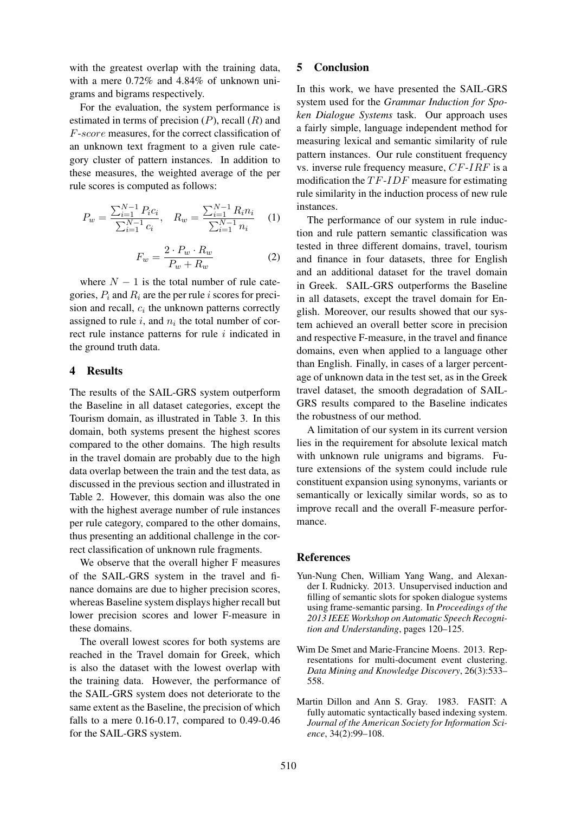with the greatest overlap with the training data, with a mere 0.72% and 4.84% of unknown unigrams and bigrams respectively.

For the evaluation, the system performance is estimated in terms of precision  $(P)$ , recall  $(R)$  and F-score measures, for the correct classification of an unknown text fragment to a given rule category cluster of pattern instances. In addition to these measures, the weighted average of the per rule scores is computed as follows:

$$
P_w = \frac{\sum_{i=1}^{N-1} P_i c_i}{\sum_{i=1}^{N-1} c_i}, \quad R_w = \frac{\sum_{i=1}^{N-1} R_i n_i}{\sum_{i=1}^{N-1} n_i} \quad (1)
$$

$$
F_w = \frac{2 \cdot P_w \cdot R_w}{P_w + R_w} \tag{2}
$$

where  $N - 1$  is the total number of rule categories,  $P_i$  and  $R_i$  are the per rule i scores for precision and recall,  $c_i$  the unknown patterns correctly assigned to rule  $i$ , and  $n_i$  the total number of correct rule instance patterns for rule  $i$  indicated in the ground truth data.

### 4 Results

The results of the SAIL-GRS system outperform the Baseline in all dataset categories, except the Tourism domain, as illustrated in Table 3. In this domain, both systems present the highest scores compared to the other domains. The high results in the travel domain are probably due to the high data overlap between the train and the test data, as discussed in the previous section and illustrated in Table 2. However, this domain was also the one with the highest average number of rule instances per rule category, compared to the other domains, thus presenting an additional challenge in the correct classification of unknown rule fragments.

We observe that the overall higher F measures of the SAIL-GRS system in the travel and finance domains are due to higher precision scores, whereas Baseline system displays higher recall but lower precision scores and lower F-measure in these domains.

The overall lowest scores for both systems are reached in the Travel domain for Greek, which is also the dataset with the lowest overlap with the training data. However, the performance of the SAIL-GRS system does not deteriorate to the same extent as the Baseline, the precision of which falls to a mere 0.16-0.17, compared to 0.49-0.46 for the SAIL-GRS system.

### 5 Conclusion

In this work, we have presented the SAIL-GRS system used for the *Grammar Induction for Spoken Dialogue Systems* task. Our approach uses a fairly simple, language independent method for measuring lexical and semantic similarity of rule pattern instances. Our rule constituent frequency vs. inverse rule frequency measure, CF-IRF is a modification the  $TF-IDF$  measure for estimating rule similarity in the induction process of new rule instances.

The performance of our system in rule induction and rule pattern semantic classification was tested in three different domains, travel, tourism and finance in four datasets, three for English and an additional dataset for the travel domain in Greek. SAIL-GRS outperforms the Baseline in all datasets, except the travel domain for English. Moreover, our results showed that our system achieved an overall better score in precision and respective F-measure, in the travel and finance domains, even when applied to a language other than English. Finally, in cases of a larger percentage of unknown data in the test set, as in the Greek travel dataset, the smooth degradation of SAIL-GRS results compared to the Baseline indicates the robustness of our method.

A limitation of our system in its current version lies in the requirement for absolute lexical match with unknown rule unigrams and bigrams. Future extensions of the system could include rule constituent expansion using synonyms, variants or semantically or lexically similar words, so as to improve recall and the overall F-measure performance.

#### **References**

- Yun-Nung Chen, William Yang Wang, and Alexander I. Rudnicky. 2013. Unsupervised induction and filling of semantic slots for spoken dialogue systems using frame-semantic parsing. In *Proceedings of the 2013 IEEE Workshop on Automatic Speech Recognition and Understanding*, pages 120–125.
- Wim De Smet and Marie-Francine Moens. 2013. Representations for multi-document event clustering. *Data Mining and Knowledge Discovery*, 26(3):533– 558.
- Martin Dillon and Ann S. Gray. 1983. FASIT: A fully automatic syntactically based indexing system. *Journal of the American Society for Information Science*, 34(2):99–108.